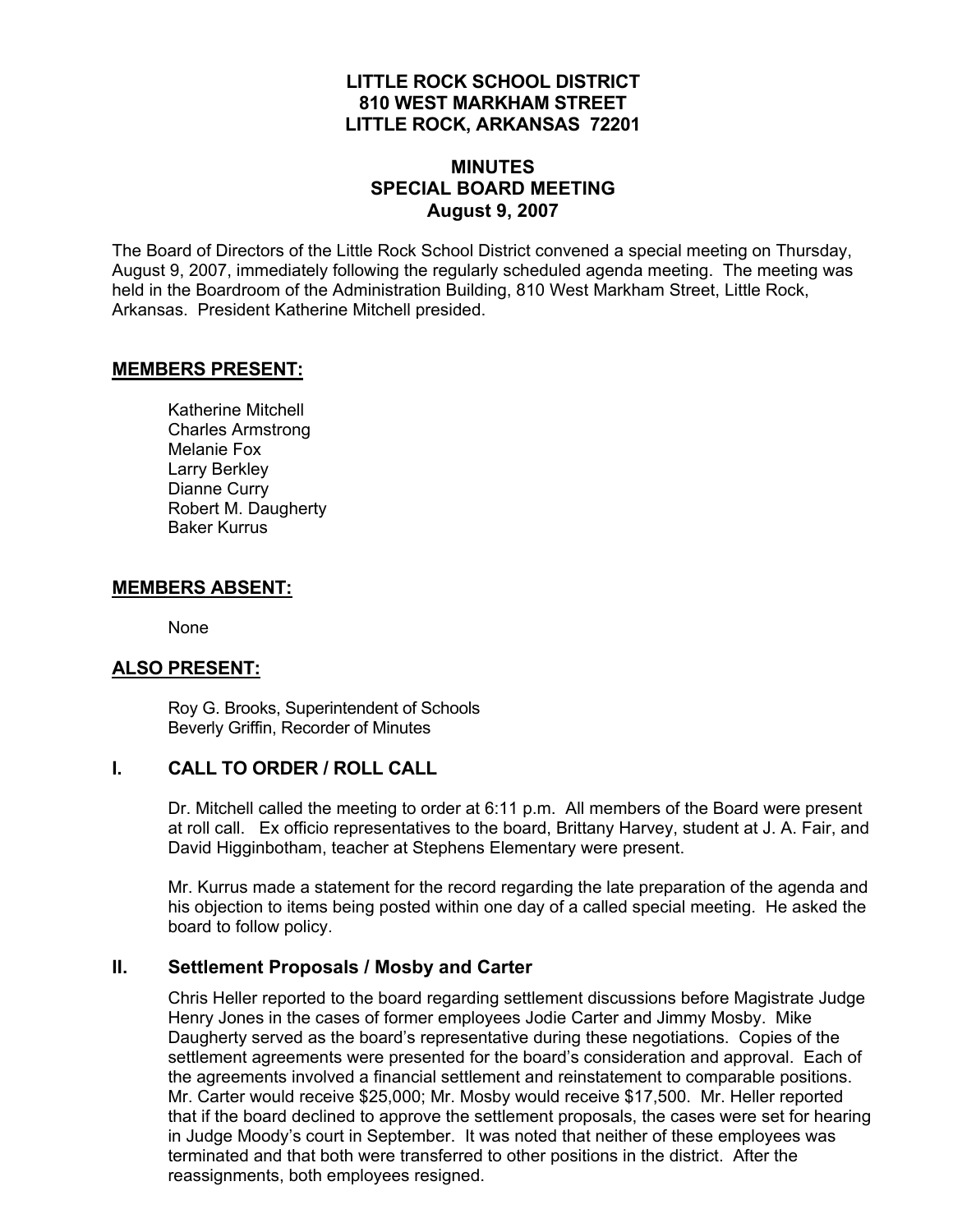## **LITTLE ROCK SCHOOL DISTRICT 810 WEST MARKHAM STREET LITTLE ROCK, ARKANSAS 72201**

# **MINUTES SPECIAL BOARD MEETING August 9, 2007**

The Board of Directors of the Little Rock School District convened a special meeting on Thursday, August 9, 2007, immediately following the regularly scheduled agenda meeting. The meeting was held in the Boardroom of the Administration Building, 810 West Markham Street, Little Rock, Arkansas. President Katherine Mitchell presided.

#### **MEMBERS PRESENT:**

Katherine Mitchell Charles Armstrong Melanie Fox Larry Berkley Dianne Curry Robert M. Daugherty Baker Kurrus

#### **MEMBERS ABSENT:**

None

#### **ALSO PRESENT:**

 Roy G. Brooks, Superintendent of Schools Beverly Griffin, Recorder of Minutes

#### **I. CALL TO ORDER / ROLL CALL**

Dr. Mitchell called the meeting to order at 6:11 p.m. All members of the Board were present at roll call. Ex officio representatives to the board, Brittany Harvey, student at J. A. Fair, and David Higginbotham, teacher at Stephens Elementary were present.

Mr. Kurrus made a statement for the record regarding the late preparation of the agenda and his objection to items being posted within one day of a called special meeting. He asked the board to follow policy.

#### **II. Settlement Proposals / Mosby and Carter**

Chris Heller reported to the board regarding settlement discussions before Magistrate Judge Henry Jones in the cases of former employees Jodie Carter and Jimmy Mosby. Mike Daugherty served as the board's representative during these negotiations. Copies of the settlement agreements were presented for the board's consideration and approval. Each of the agreements involved a financial settlement and reinstatement to comparable positions. Mr. Carter would receive \$25,000; Mr. Mosby would receive \$17,500. Mr. Heller reported that if the board declined to approve the settlement proposals, the cases were set for hearing in Judge Moody's court in September. It was noted that neither of these employees was terminated and that both were transferred to other positions in the district. After the reassignments, both employees resigned.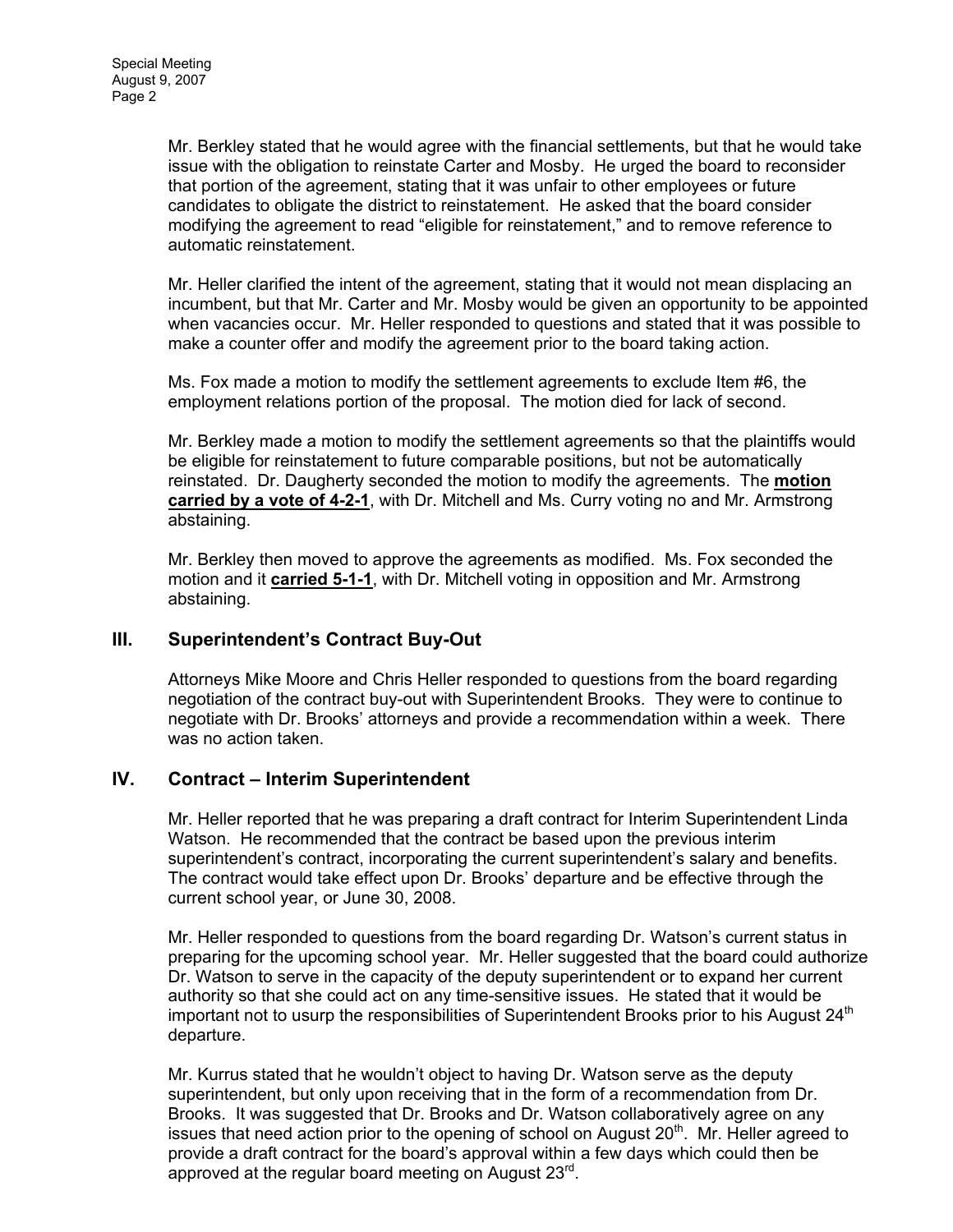Mr. Berkley stated that he would agree with the financial settlements, but that he would take issue with the obligation to reinstate Carter and Mosby. He urged the board to reconsider that portion of the agreement, stating that it was unfair to other employees or future candidates to obligate the district to reinstatement. He asked that the board consider modifying the agreement to read "eligible for reinstatement," and to remove reference to automatic reinstatement.

Mr. Heller clarified the intent of the agreement, stating that it would not mean displacing an incumbent, but that Mr. Carter and Mr. Mosby would be given an opportunity to be appointed when vacancies occur. Mr. Heller responded to questions and stated that it was possible to make a counter offer and modify the agreement prior to the board taking action.

Ms. Fox made a motion to modify the settlement agreements to exclude Item #6, the employment relations portion of the proposal. The motion died for lack of second.

Mr. Berkley made a motion to modify the settlement agreements so that the plaintiffs would be eligible for reinstatement to future comparable positions, but not be automatically reinstated. Dr. Daugherty seconded the motion to modify the agreements. The **motion carried by a vote of 4-2-1**, with Dr. Mitchell and Ms. Curry voting no and Mr. Armstrong abstaining.

Mr. Berkley then moved to approve the agreements as modified. Ms. Fox seconded the motion and it **carried 5-1-1**, with Dr. Mitchell voting in opposition and Mr. Armstrong abstaining.

# **III. Superintendent's Contract Buy-Out**

Attorneys Mike Moore and Chris Heller responded to questions from the board regarding negotiation of the contract buy-out with Superintendent Brooks. They were to continue to negotiate with Dr. Brooks' attorneys and provide a recommendation within a week. There was no action taken.

# **IV. Contract – Interim Superintendent**

Mr. Heller reported that he was preparing a draft contract for Interim Superintendent Linda Watson. He recommended that the contract be based upon the previous interim superintendent's contract, incorporating the current superintendent's salary and benefits. The contract would take effect upon Dr. Brooks' departure and be effective through the current school year, or June 30, 2008.

Mr. Heller responded to questions from the board regarding Dr. Watson's current status in preparing for the upcoming school year. Mr. Heller suggested that the board could authorize Dr. Watson to serve in the capacity of the deputy superintendent or to expand her current authority so that she could act on any time-sensitive issues. He stated that it would be important not to usurp the responsibilities of Superintendent Brooks prior to his August  $24<sup>th</sup>$ departure.

Mr. Kurrus stated that he wouldn't object to having Dr. Watson serve as the deputy superintendent, but only upon receiving that in the form of a recommendation from Dr. Brooks. It was suggested that Dr. Brooks and Dr. Watson collaboratively agree on any issues that need action prior to the opening of school on August  $20<sup>th</sup>$ . Mr. Heller agreed to provide a draft contract for the board's approval within a few days which could then be approved at the regular board meeting on August  $23^{\text{rd}}$ .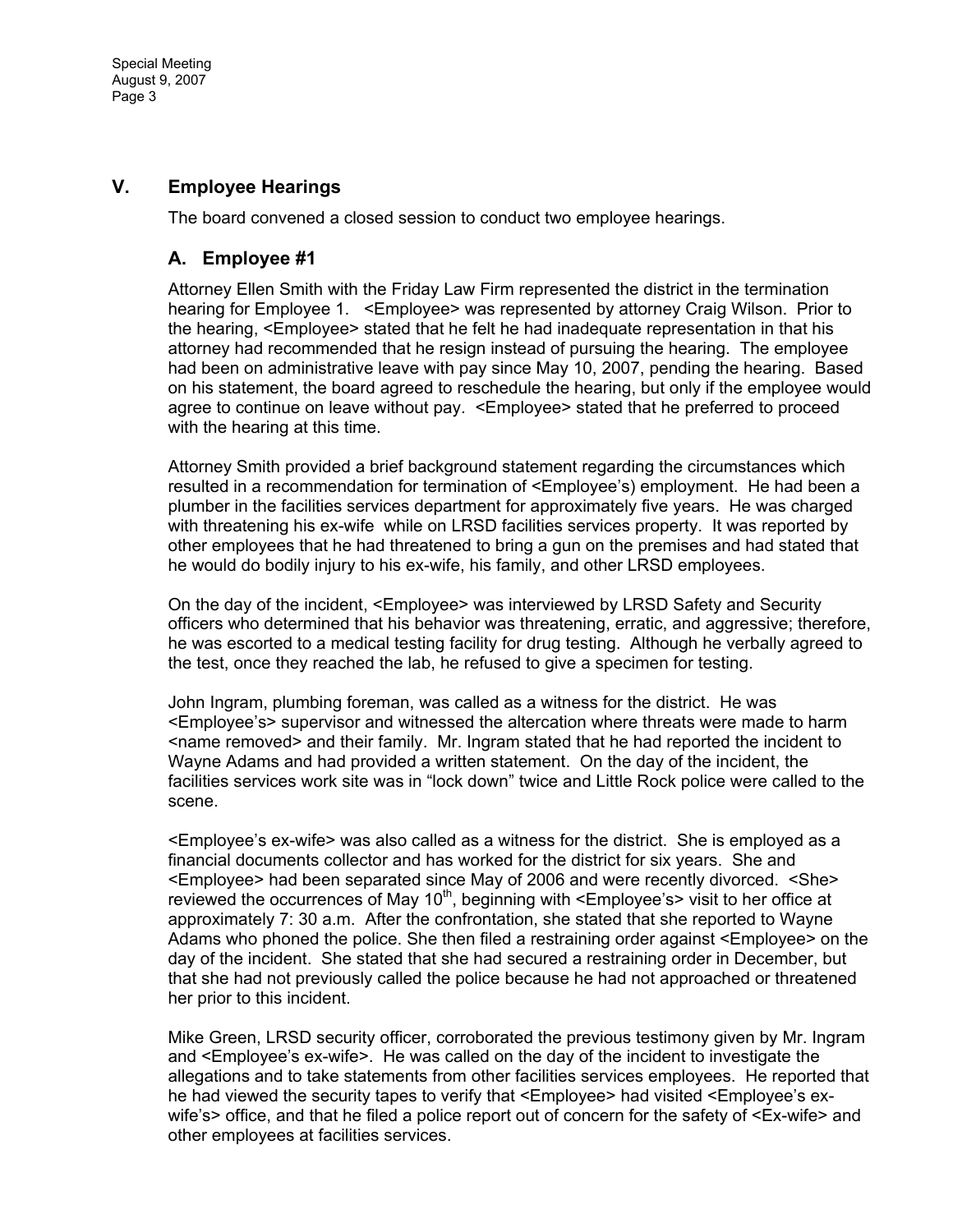Special Meeting August 9, 2007 Page 3

### **V. Employee Hearings**

The board convened a closed session to conduct two employee hearings.

#### **A. Employee #1**

Attorney Ellen Smith with the Friday Law Firm represented the district in the termination hearing for Employee 1. <Employee> was represented by attorney Craig Wilson. Prior to the hearing, <Employee> stated that he felt he had inadequate representation in that his attorney had recommended that he resign instead of pursuing the hearing. The employee had been on administrative leave with pay since May 10, 2007, pending the hearing. Based on his statement, the board agreed to reschedule the hearing, but only if the employee would agree to continue on leave without pay. <Employee> stated that he preferred to proceed with the hearing at this time.

Attorney Smith provided a brief background statement regarding the circumstances which resulted in a recommendation for termination of <Employee's) employment. He had been a plumber in the facilities services department for approximately five years. He was charged with threatening his ex-wife while on LRSD facilities services property. It was reported by other employees that he had threatened to bring a gun on the premises and had stated that he would do bodily injury to his ex-wife, his family, and other LRSD employees.

On the day of the incident, <Employee> was interviewed by LRSD Safety and Security officers who determined that his behavior was threatening, erratic, and aggressive; therefore, he was escorted to a medical testing facility for drug testing. Although he verbally agreed to the test, once they reached the lab, he refused to give a specimen for testing.

John Ingram, plumbing foreman, was called as a witness for the district. He was <Employee's> supervisor and witnessed the altercation where threats were made to harm <name removed> and their family. Mr. Ingram stated that he had reported the incident to Wayne Adams and had provided a written statement. On the day of the incident, the facilities services work site was in "lock down" twice and Little Rock police were called to the scene.

<Employee's ex-wife> was also called as a witness for the district. She is employed as a financial documents collector and has worked for the district for six years. She and <Employee> had been separated since May of 2006 and were recently divorced. <She> reviewed the occurrences of May  $10<sup>th</sup>$ , beginning with <Employee's> visit to her office at approximately 7: 30 a.m. After the confrontation, she stated that she reported to Wayne Adams who phoned the police. She then filed a restraining order against <Employee> on the day of the incident. She stated that she had secured a restraining order in December, but that she had not previously called the police because he had not approached or threatened her prior to this incident.

Mike Green, LRSD security officer, corroborated the previous testimony given by Mr. Ingram and <Employee's ex-wife>. He was called on the day of the incident to investigate the allegations and to take statements from other facilities services employees. He reported that he had viewed the security tapes to verify that <Employee> had visited <Employee's exwife's> office, and that he filed a police report out of concern for the safety of <Ex-wife> and other employees at facilities services.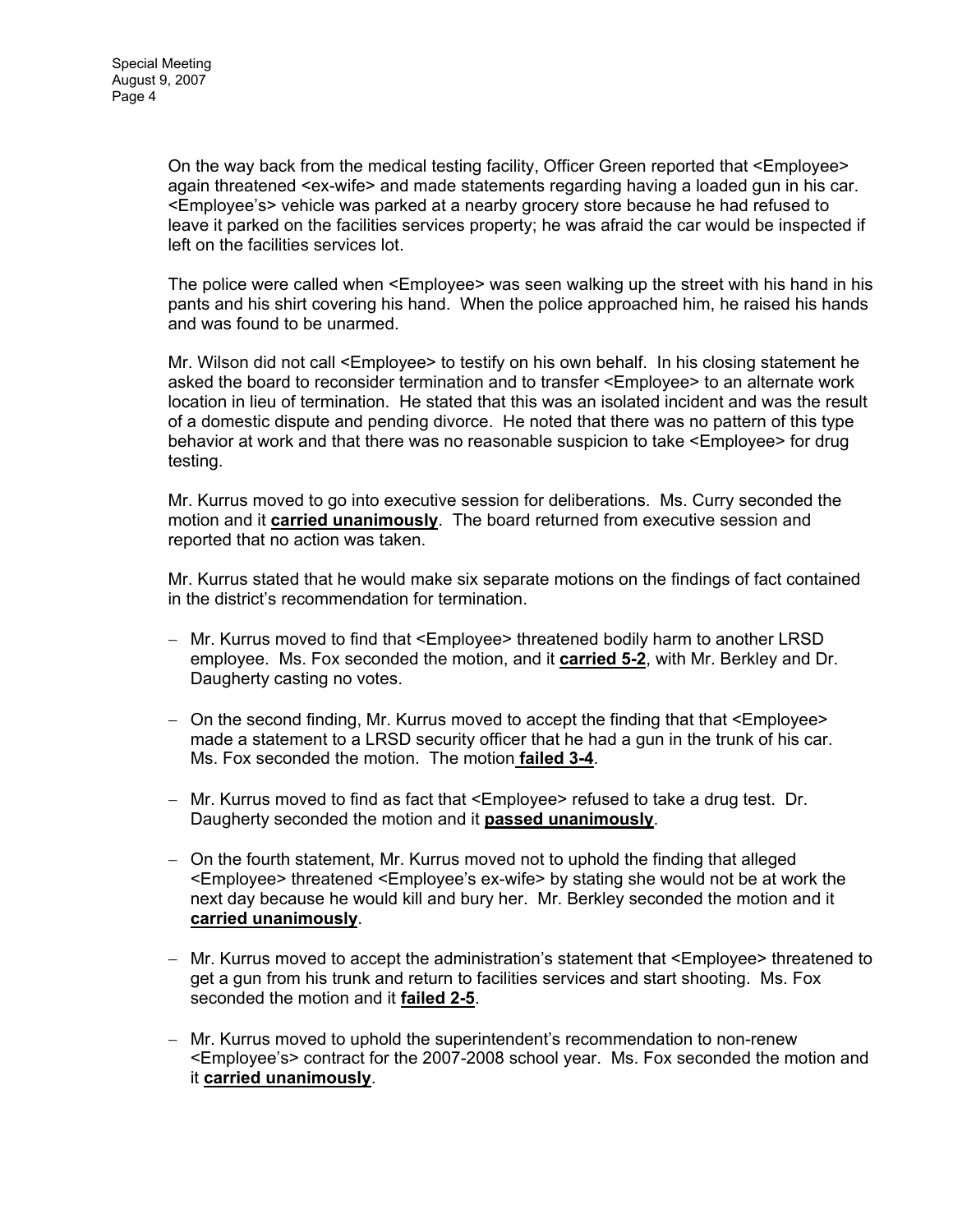On the way back from the medical testing facility, Officer Green reported that <Employee> again threatened <ex-wife> and made statements regarding having a loaded gun in his car. <Employee's> vehicle was parked at a nearby grocery store because he had refused to leave it parked on the facilities services property; he was afraid the car would be inspected if left on the facilities services lot.

The police were called when <Employee> was seen walking up the street with his hand in his pants and his shirt covering his hand. When the police approached him, he raised his hands and was found to be unarmed.

Mr. Wilson did not call <Employee> to testify on his own behalf. In his closing statement he asked the board to reconsider termination and to transfer <Employee> to an alternate work location in lieu of termination. He stated that this was an isolated incident and was the result of a domestic dispute and pending divorce. He noted that there was no pattern of this type behavior at work and that there was no reasonable suspicion to take <Employee> for drug testing.

Mr. Kurrus moved to go into executive session for deliberations. Ms. Curry seconded the motion and it **carried unanimously**. The board returned from executive session and reported that no action was taken.

Mr. Kurrus stated that he would make six separate motions on the findings of fact contained in the district's recommendation for termination.

- − Mr. Kurrus moved to find that <Employee> threatened bodily harm to another LRSD employee. Ms. Fox seconded the motion, and it **carried 5-2**, with Mr. Berkley and Dr. Daugherty casting no votes.
- − On the second finding, Mr. Kurrus moved to accept the finding that that <Employee> made a statement to a LRSD security officer that he had a gun in the trunk of his car. Ms. Fox seconded the motion. The motion **failed 3-4**.
- − Mr. Kurrus moved to find as fact that <Employee> refused to take a drug test. Dr. Daugherty seconded the motion and it **passed unanimously**.
- − On the fourth statement, Mr. Kurrus moved not to uphold the finding that alleged <Employee> threatened <Employee's ex-wife> by stating she would not be at work the next day because he would kill and bury her. Mr. Berkley seconded the motion and it **carried unanimously**.
- − Mr. Kurrus moved to accept the administration's statement that <Employee> threatened to get a gun from his trunk and return to facilities services and start shooting. Ms. Fox seconded the motion and it **failed 2-5**.
- − Mr. Kurrus moved to uphold the superintendent's recommendation to non-renew <Employee's> contract for the 2007-2008 school year. Ms. Fox seconded the motion and it **carried unanimously**.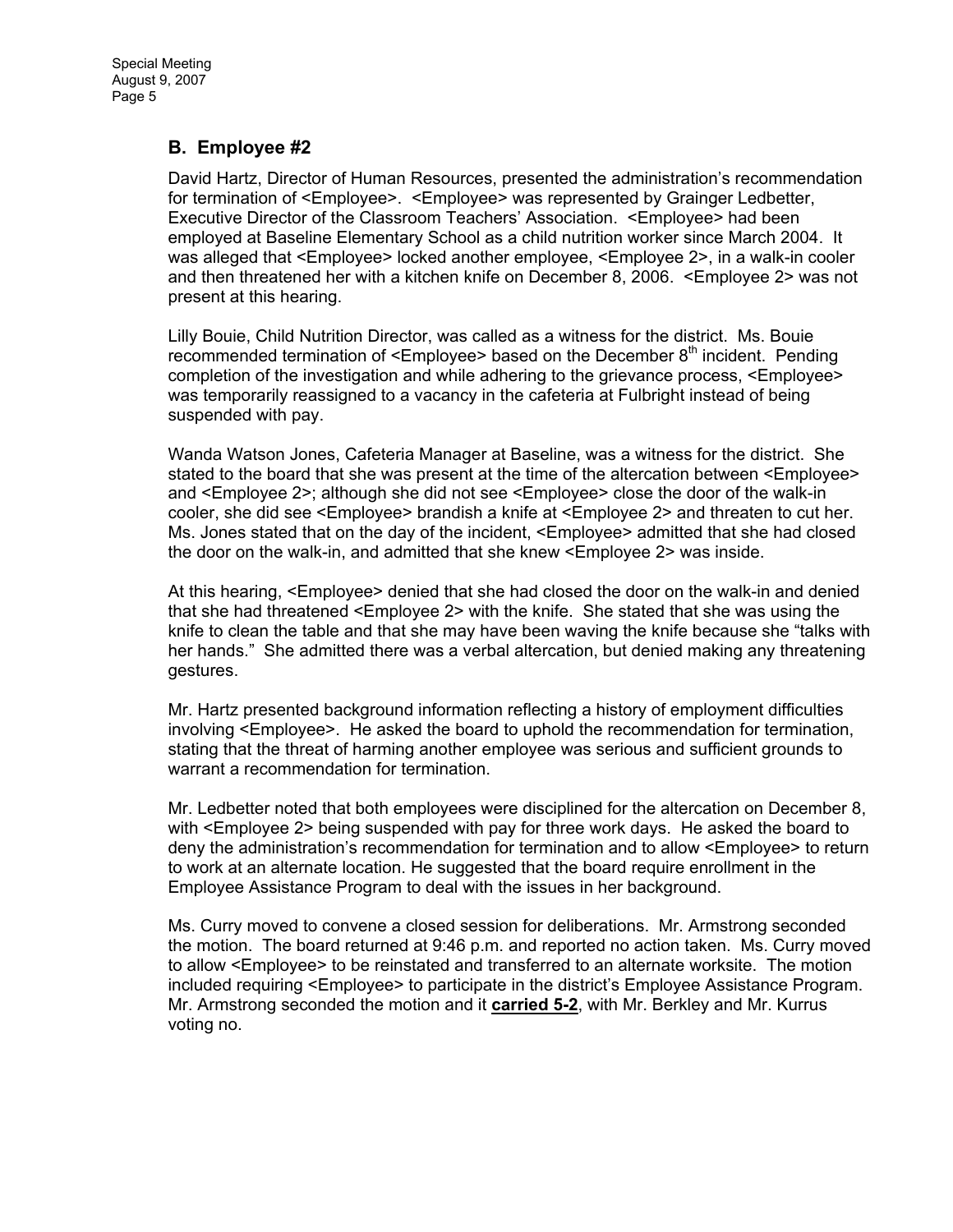Special Meeting August 9, 2007 Page 5

## **B. Employee #2**

David Hartz, Director of Human Resources, presented the administration's recommendation for termination of <Employee>. <Employee> was represented by Grainger Ledbetter, Executive Director of the Classroom Teachers' Association. <Employee> had been employed at Baseline Elementary School as a child nutrition worker since March 2004. It was alleged that <Employee> locked another employee, <Employee 2>, in a walk-in cooler and then threatened her with a kitchen knife on December 8, 2006. <Employee 2> was not present at this hearing.

Lilly Bouie, Child Nutrition Director, was called as a witness for the district. Ms. Bouie recommended termination of  $\leq$ Employee> based on the December  $8<sup>th</sup>$  incident. Pending completion of the investigation and while adhering to the grievance process, <Employee> was temporarily reassigned to a vacancy in the cafeteria at Fulbright instead of being suspended with pay.

Wanda Watson Jones, Cafeteria Manager at Baseline, was a witness for the district. She stated to the board that she was present at the time of the altercation between <Employee> and <Employee 2>; although she did not see <Employee> close the door of the walk-in cooler, she did see <Employee> brandish a knife at <Employee 2> and threaten to cut her. Ms. Jones stated that on the day of the incident, <Employee> admitted that she had closed the door on the walk-in, and admitted that she knew <Employee 2> was inside.

At this hearing, <Employee> denied that she had closed the door on the walk-in and denied that she had threatened <Employee 2> with the knife. She stated that she was using the knife to clean the table and that she may have been waving the knife because she "talks with her hands." She admitted there was a verbal altercation, but denied making any threatening gestures.

Mr. Hartz presented background information reflecting a history of employment difficulties involving <Employee>. He asked the board to uphold the recommendation for termination, stating that the threat of harming another employee was serious and sufficient grounds to warrant a recommendation for termination.

Mr. Ledbetter noted that both employees were disciplined for the altercation on December 8, with <Employee 2> being suspended with pay for three work days. He asked the board to deny the administration's recommendation for termination and to allow <Employee> to return to work at an alternate location. He suggested that the board require enrollment in the Employee Assistance Program to deal with the issues in her background.

Ms. Curry moved to convene a closed session for deliberations. Mr. Armstrong seconded the motion. The board returned at 9:46 p.m. and reported no action taken. Ms. Curry moved to allow <Employee> to be reinstated and transferred to an alternate worksite. The motion included requiring <Employee> to participate in the district's Employee Assistance Program. Mr. Armstrong seconded the motion and it **carried 5-2**, with Mr. Berkley and Mr. Kurrus voting no.